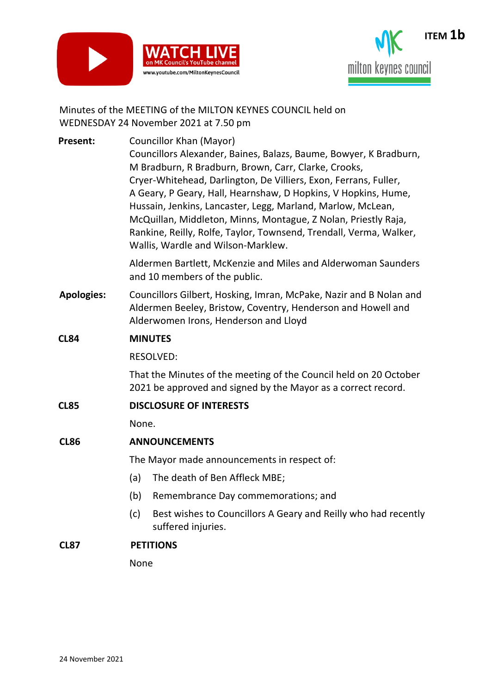



## Minutes of the MEETING of the MILTON KEYNES COUNCIL held on WEDNESDAY 24 November 2021 at 7.50 pm

| <b>Present:</b>   | Councillor Khan (Mayor)                                                                                  |
|-------------------|----------------------------------------------------------------------------------------------------------|
|                   | Councillors Alexander, Baines, Balazs, Baume, Bowyer, K Bradburn,                                        |
|                   | M Bradburn, R Bradburn, Brown, Carr, Clarke, Crooks,                                                     |
|                   | Cryer-Whitehead, Darlington, De Villiers, Exon, Ferrans, Fuller,                                         |
|                   | A Geary, P Geary, Hall, Hearnshaw, D Hopkins, V Hopkins, Hume,                                           |
|                   | Hussain, Jenkins, Lancaster, Legg, Marland, Marlow, McLean,                                              |
|                   | McQuillan, Middleton, Minns, Montague, Z Nolan, Priestly Raja,                                           |
|                   | Rankine, Reilly, Rolfe, Taylor, Townsend, Trendall, Verma, Walker,<br>Wallis, Wardle and Wilson-Marklew. |
|                   | Aldermen Bartlett, McKenzie and Miles and Alderwoman Saunders<br>and 10 members of the public.           |
| <b>Apologies:</b> | Councillors Gilbert, Hosking, Imran, McPake, Nazir and B Nolan and                                       |
|                   | Aldermen Beeley, Bristow, Coventry, Henderson and Howell and                                             |
|                   | Alderwomen Irons, Henderson and Lloyd                                                                    |
| <b>CL84</b>       | <b>MINUTES</b>                                                                                           |
|                   | <b>RESOLVED:</b>                                                                                         |
|                   | That the Minutes of the meeting of the Council held on 20 October                                        |
|                   | 2021 be approved and signed by the Mayor as a correct record.                                            |
| <b>CL85</b>       | <b>DISCLOSURE OF INTERESTS</b>                                                                           |
|                   | None.                                                                                                    |
| <b>CL86</b>       | <b>ANNOUNCEMENTS</b>                                                                                     |
|                   | The Mayor made announcements in respect of:                                                              |
|                   | (a)<br>The death of Ben Affleck MBE;                                                                     |
|                   | (b)<br>Remembrance Day commemorations; and                                                               |
|                   | (c)<br>Best wishes to Councillors A Geary and Reilly who had recently<br>suffered injuries.              |
| <b>CL87</b>       | <b>PETITIONS</b>                                                                                         |
|                   |                                                                                                          |

None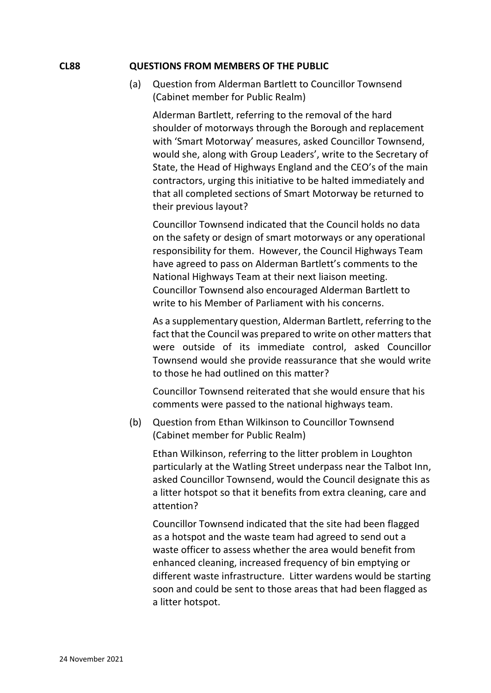#### **CL88 QUESTIONS FROM MEMBERS OF THE PUBLIC**

(a) Question from Alderman Bartlett to Councillor Townsend (Cabinet member for Public Realm)

Alderman Bartlett, referring to the removal of the hard shoulder of motorways through the Borough and replacement with 'Smart Motorway' measures, asked Councillor Townsend, would she, along with Group Leaders', write to the Secretary of State, the Head of Highways England and the CEO's of the main contractors, urging this initiative to be halted immediately and that all completed sections of Smart Motorway be returned to their previous layout?

Councillor Townsend indicated that the Council holds no data on the safety or design of smart motorways or any operational responsibility for them. However, the Council Highways Team have agreed to pass on Alderman Bartlett's comments to the National Highways Team at their next liaison meeting. Councillor Townsend also encouraged Alderman Bartlett to write to his Member of Parliament with his concerns.

As a supplementary question, Alderman Bartlett, referring to the fact that the Council was prepared to write on other matters that were outside of its immediate control, asked Councillor Townsend would she provide reassurance that she would write to those he had outlined on this matter?

Councillor Townsend reiterated that she would ensure that his comments were passed to the national highways team.

(b) Question from Ethan Wilkinson to Councillor Townsend (Cabinet member for Public Realm)

Ethan Wilkinson, referring to the litter problem in Loughton particularly at the Watling Street underpass near the Talbot Inn, asked Councillor Townsend, would the Council designate this as a litter hotspot so that it benefits from extra cleaning, care and attention?

Councillor Townsend indicated that the site had been flagged as a hotspot and the waste team had agreed to send out a waste officer to assess whether the area would benefit from enhanced cleaning, increased frequency of bin emptying or different waste infrastructure. Litter wardens would be starting soon and could be sent to those areas that had been flagged as a litter hotspot.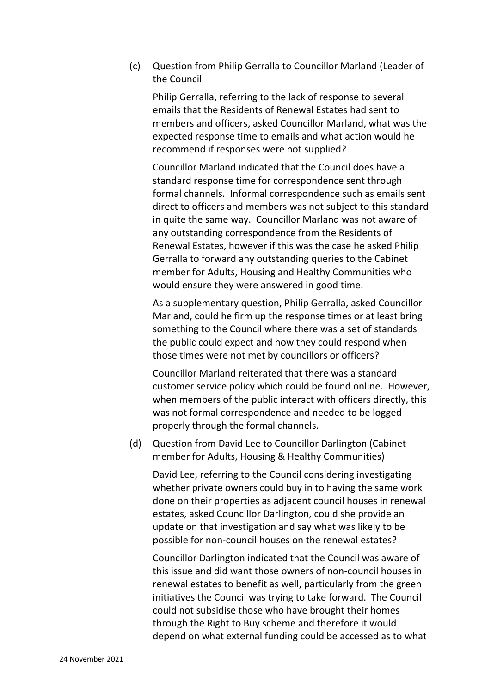(c) Question from Philip Gerralla to Councillor Marland (Leader of the Council

Philip Gerralla, referring to the lack of response to several emails that the Residents of Renewal Estates had sent to members and officers, asked Councillor Marland, what was the expected response time to emails and what action would he recommend if responses were not supplied?

Councillor Marland indicated that the Council does have a standard response time for correspondence sent through formal channels. Informal correspondence such as emails sent direct to officers and members was not subject to this standard in quite the same way. Councillor Marland was not aware of any outstanding correspondence from the Residents of Renewal Estates, however if this was the case he asked Philip Gerralla to forward any outstanding queries to the Cabinet member for Adults, Housing and Healthy Communities who would ensure they were answered in good time.

As a supplementary question, Philip Gerralla, asked Councillor Marland, could he firm up the response times or at least bring something to the Council where there was a set of standards the public could expect and how they could respond when those times were not met by councillors or officers?

Councillor Marland reiterated that there was a standard customer service policy which could be found online. However, when members of the public interact with officers directly, this was not formal correspondence and needed to be logged properly through the formal channels.

(d) Question from David Lee to Councillor Darlington (Cabinet member for Adults, Housing & Healthy Communities)

David Lee, referring to the Council considering investigating whether private owners could buy in to having the same work done on their properties as adjacent council houses in renewal estates, asked Councillor Darlington, could she provide an update on that investigation and say what was likely to be possible for non-council houses on the renewal estates?

Councillor Darlington indicated that the Council was aware of this issue and did want those owners of non-council houses in renewal estates to benefit as well, particularly from the green initiatives the Council was trying to take forward. The Council could not subsidise those who have brought their homes through the Right to Buy scheme and therefore it would depend on what external funding could be accessed as to what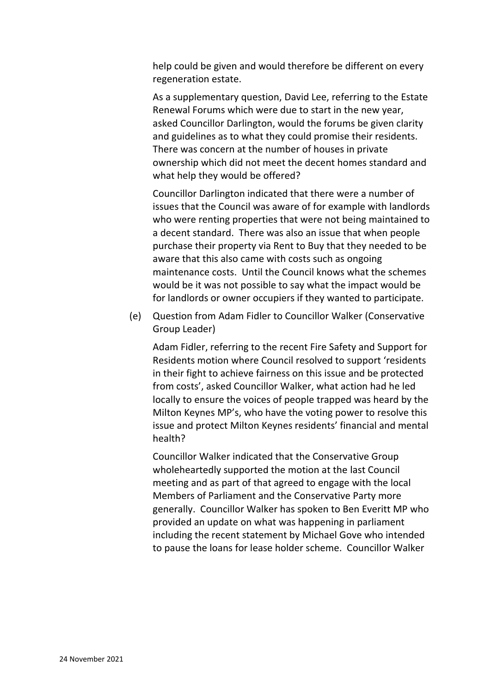help could be given and would therefore be different on every regeneration estate.

As a supplementary question, David Lee, referring to the Estate Renewal Forums which were due to start in the new year, asked Councillor Darlington, would the forums be given clarity and guidelines as to what they could promise their residents. There was concern at the number of houses in private ownership which did not meet the decent homes standard and what help they would be offered?

Councillor Darlington indicated that there were a number of issues that the Council was aware of for example with landlords who were renting properties that were not being maintained to a decent standard. There was also an issue that when people purchase their property via Rent to Buy that they needed to be aware that this also came with costs such as ongoing maintenance costs. Until the Council knows what the schemes would be it was not possible to say what the impact would be for landlords or owner occupiers if they wanted to participate.

(e) Question from Adam Fidler to Councillor Walker (Conservative Group Leader)

Adam Fidler, referring to the recent Fire Safety and Support for Residents motion where Council resolved to support 'residents in their fight to achieve fairness on this issue and be protected from costs', asked Councillor Walker, what action had he led locally to ensure the voices of people trapped was heard by the Milton Keynes MP's, who have the voting power to resolve this issue and protect Milton Keynes residents' financial and mental health?

Councillor Walker indicated that the Conservative Group wholeheartedly supported the motion at the last Council meeting and as part of that agreed to engage with the local Members of Parliament and the Conservative Party more generally. Councillor Walker has spoken to Ben Everitt MP who provided an update on what was happening in parliament including the recent statement by Michael Gove who intended to pause the loans for lease holder scheme. Councillor Walker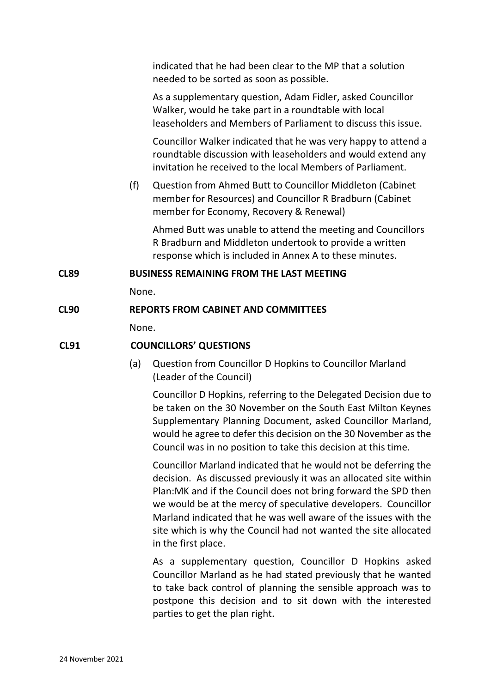indicated that he had been clear to the MP that a solution needed to be sorted as soon as possible.

As a supplementary question, Adam Fidler, asked Councillor Walker, would he take part in a roundtable with local leaseholders and Members of Parliament to discuss this issue.

Councillor Walker indicated that he was very happy to attend a roundtable discussion with leaseholders and would extend any invitation he received to the local Members of Parliament.

(f) Question from Ahmed Butt to Councillor Middleton (Cabinet member for Resources) and Councillor R Bradburn (Cabinet member for Economy, Recovery & Renewal)

Ahmed Butt was unable to attend the meeting and Councillors R Bradburn and Middleton undertook to provide a written response which is included in Annex A to these minutes.

### **CL89 BUSINESS REMAINING FROM THE LAST MEETING**

None.

# **CL90 REPORTS FROM CABINET AND COMMITTEES**

None.

# **CL91 COUNCILLORS' QUESTIONS**

(a) Question from Councillor D Hopkins to Councillor Marland (Leader of the Council)

Councillor D Hopkins, referring to the Delegated Decision due to be taken on the 30 November on the South East Milton Keynes Supplementary Planning Document, asked Councillor Marland, would he agree to defer this decision on the 30 November as the Council was in no position to take this decision at this time.

Councillor Marland indicated that he would not be deferring the decision. As discussed previously it was an allocated site within Plan:MK and if the Council does not bring forward the SPD then we would be at the mercy of speculative developers. Councillor Marland indicated that he was well aware of the issues with the site which is why the Council had not wanted the site allocated in the first place.

As a supplementary question, Councillor D Hopkins asked Councillor Marland as he had stated previously that he wanted to take back control of planning the sensible approach was to postpone this decision and to sit down with the interested parties to get the plan right.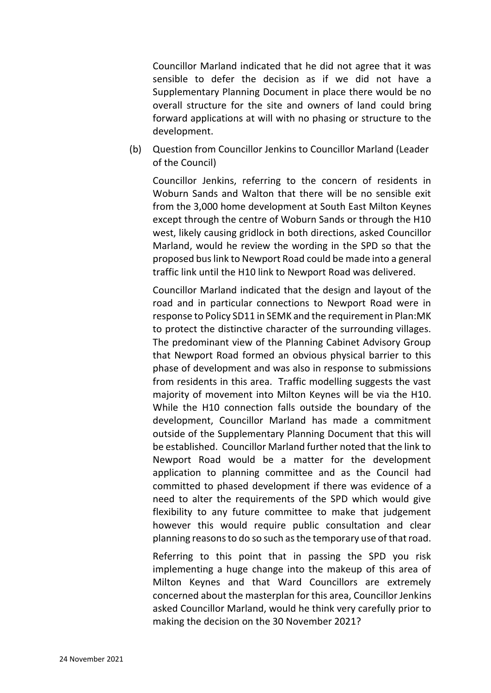Councillor Marland indicated that he did not agree that it was sensible to defer the decision as if we did not have a Supplementary Planning Document in place there would be no overall structure for the site and owners of land could bring forward applications at will with no phasing or structure to the development.

(b) Question from Councillor Jenkins to Councillor Marland (Leader of the Council)

Councillor Jenkins, referring to the concern of residents in Woburn Sands and Walton that there will be no sensible exit from the 3,000 home development at South East Milton Keynes except through the centre of Woburn Sands or through the H10 west, likely causing gridlock in both directions, asked Councillor Marland, would he review the wording in the SPD so that the proposed bus link to Newport Road could be made into a general traffic link until the H10 link to Newport Road was delivered.

Councillor Marland indicated that the design and layout of the road and in particular connections to Newport Road were in response to Policy SD11 in SEMK and the requirement in Plan:MK to protect the distinctive character of the surrounding villages. The predominant view of the Planning Cabinet Advisory Group that Newport Road formed an obvious physical barrier to this phase of development and was also in response to submissions from residents in this area. Traffic modelling suggests the vast majority of movement into Milton Keynes will be via the H10. While the H10 connection falls outside the boundary of the development, Councillor Marland has made a commitment outside of the Supplementary Planning Document that this will be established. Councillor Marland further noted that the link to Newport Road would be a matter for the development application to planning committee and as the Council had committed to phased development if there was evidence of a need to alter the requirements of the SPD which would give flexibility to any future committee to make that judgement however this would require public consultation and clear planning reasons to do so such as the temporary use of that road.

Referring to this point that in passing the SPD you risk implementing a huge change into the makeup of this area of Milton Keynes and that Ward Councillors are extremely concerned about the masterplan for this area, Councillor Jenkins asked Councillor Marland, would he think very carefully prior to making the decision on the 30 November 2021?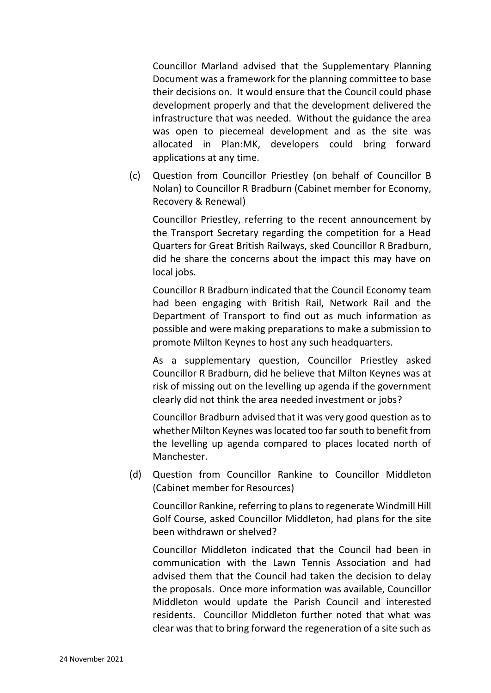Councillor Marland advised that the Supplementary Planning Document was a framework for the planning committee to base their decisions on. It would ensure that the Council could phase development properly and that the development delivered the infrastructure that was needed. Without the guidance the area was open to piecemeal development and as the site was allocated in Plan:MK, developers could bring forward applications at any time.

(c) Question from Councillor Priestley (on behalf of Councillor B Nolan) to Councillor R Bradburn (Cabinet member for Economy, Recovery & Renewal)

Councillor Priestley, referring to the recent announcement by the Transport Secretary regarding the competition for a Head Quarters for Great British Railways, sked Councillor R Bradburn, did he share the concerns about the impact this may have on local jobs.

Councillor R Bradburn indicated that the Council Economy team had been engaging with British Rail, Network Rail and the Department of Transport to find out as much information as possible and were making preparations to make a submission to promote Milton Keynes to host any such headquarters.

As a supplementary question, Councillor Priestley asked Councillor R Bradburn, did he believe that Milton Keynes was at risk of missing out on the levelling up agenda if the government clearly did not think the area needed investment or jobs?

Councillor Bradburn advised that it was very good question as to whether Milton Keynes was located too far south to benefit from the levelling up agenda compared to places located north of Manchester.

(d) Question from Councillor Rankine to Councillor Middleton (Cabinet member for Resources)

Councillor Rankine, referring to plans to regenerate Windmill Hill Golf Course, asked Councillor Middleton, had plans for the site been withdrawn or shelved?

Councillor Middleton indicated that the Council had been in communication with the Lawn Tennis Association and had advised them that the Council had taken the decision to delay the proposals. Once more information was available, Councillor Middleton would update the Parish Council and interested residents. Councillor Middleton further noted that what was clear was that to bring forward the regeneration of a site such as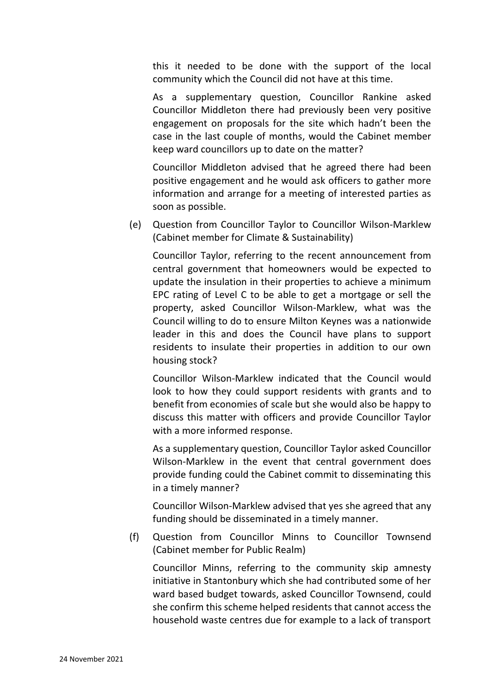this it needed to be done with the support of the local community which the Council did not have at this time.

As a supplementary question, Councillor Rankine asked Councillor Middleton there had previously been very positive engagement on proposals for the site which hadn't been the case in the last couple of months, would the Cabinet member keep ward councillors up to date on the matter?

Councillor Middleton advised that he agreed there had been positive engagement and he would ask officers to gather more information and arrange for a meeting of interested parties as soon as possible.

(e) Question from Councillor Taylor to Councillor Wilson-Marklew (Cabinet member for Climate & Sustainability)

Councillor Taylor, referring to the recent announcement from central government that homeowners would be expected to update the insulation in their properties to achieve a minimum EPC rating of Level C to be able to get a mortgage or sell the property, asked Councillor Wilson-Marklew, what was the Council willing to do to ensure Milton Keynes was a nationwide leader in this and does the Council have plans to support residents to insulate their properties in addition to our own housing stock?

Councillor Wilson-Marklew indicated that the Council would look to how they could support residents with grants and to benefit from economies of scale but she would also be happy to discuss this matter with officers and provide Councillor Taylor with a more informed response.

As a supplementary question, Councillor Taylor asked Councillor Wilson-Marklew in the event that central government does provide funding could the Cabinet commit to disseminating this in a timely manner?

Councillor Wilson-Marklew advised that yes she agreed that any funding should be disseminated in a timely manner.

(f) Question from Councillor Minns to Councillor Townsend (Cabinet member for Public Realm)

Councillor Minns, referring to the community skip amnesty initiative in Stantonbury which she had contributed some of her ward based budget towards, asked Councillor Townsend, could she confirm this scheme helped residents that cannot access the household waste centres due for example to a lack of transport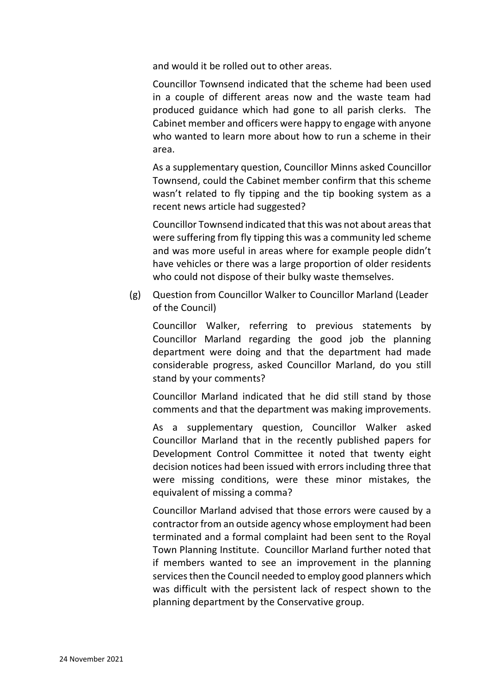and would it be rolled out to other areas.

Councillor Townsend indicated that the scheme had been used in a couple of different areas now and the waste team had produced guidance which had gone to all parish clerks. The Cabinet member and officers were happy to engage with anyone who wanted to learn more about how to run a scheme in their area.

As a supplementary question, Councillor Minns asked Councillor Townsend, could the Cabinet member confirm that this scheme wasn't related to fly tipping and the tip booking system as a recent news article had suggested?

Councillor Townsend indicated that this was not about areas that were suffering from fly tipping this was a community led scheme and was more useful in areas where for example people didn't have vehicles or there was a large proportion of older residents who could not dispose of their bulky waste themselves.

(g) Question from Councillor Walker to Councillor Marland (Leader of the Council)

Councillor Walker, referring to previous statements by Councillor Marland regarding the good job the planning department were doing and that the department had made considerable progress, asked Councillor Marland, do you still stand by your comments?

Councillor Marland indicated that he did still stand by those comments and that the department was making improvements.

As a supplementary question, Councillor Walker asked Councillor Marland that in the recently published papers for Development Control Committee it noted that twenty eight decision notices had been issued with errors including three that were missing conditions, were these minor mistakes, the equivalent of missing a comma?

Councillor Marland advised that those errors were caused by a contractor from an outside agency whose employment had been terminated and a formal complaint had been sent to the Royal Town Planning Institute. Councillor Marland further noted that if members wanted to see an improvement in the planning services then the Council needed to employ good planners which was difficult with the persistent lack of respect shown to the planning department by the Conservative group.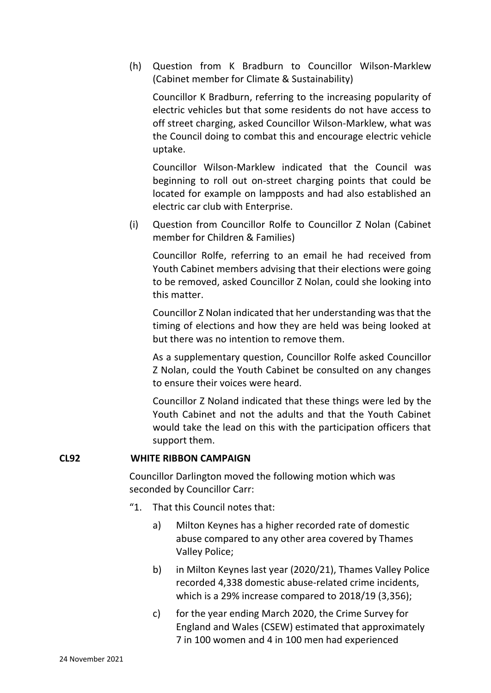(h) Question from K Bradburn to Councillor Wilson-Marklew (Cabinet member for Climate & Sustainability)

Councillor K Bradburn, referring to the increasing popularity of electric vehicles but that some residents do not have access to off street charging, asked Councillor Wilson-Marklew, what was the Council doing to combat this and encourage electric vehicle uptake.

Councillor Wilson-Marklew indicated that the Council was beginning to roll out on-street charging points that could be located for example on lampposts and had also established an electric car club with Enterprise.

(i) Question from Councillor Rolfe to Councillor Z Nolan (Cabinet member for Children & Families)

Councillor Rolfe, referring to an email he had received from Youth Cabinet members advising that their elections were going to be removed, asked Councillor Z Nolan, could she looking into this matter.

Councillor Z Nolan indicated that her understanding was that the timing of elections and how they are held was being looked at but there was no intention to remove them.

As a supplementary question, Councillor Rolfe asked Councillor Z Nolan, could the Youth Cabinet be consulted on any changes to ensure their voices were heard.

Councillor Z Noland indicated that these things were led by the Youth Cabinet and not the adults and that the Youth Cabinet would take the lead on this with the participation officers that support them.

### **CL92 WHITE RIBBON CAMPAIGN**

Councillor Darlington moved the following motion which was seconded by Councillor Carr:

- "1. That this Council notes that:
	- a) Milton Keynes has a higher recorded rate of domestic abuse compared to any other area covered by Thames Valley Police;
	- b) in Milton Keynes last year (2020/21), Thames Valley Police recorded 4,338 domestic abuse-related crime incidents, which is a 29% increase compared to 2018/19 (3,356);
	- c) for the year ending March 2020, the Crime Survey for England and Wales (CSEW) estimated that approximately 7 in 100 women and 4 in 100 men had experienced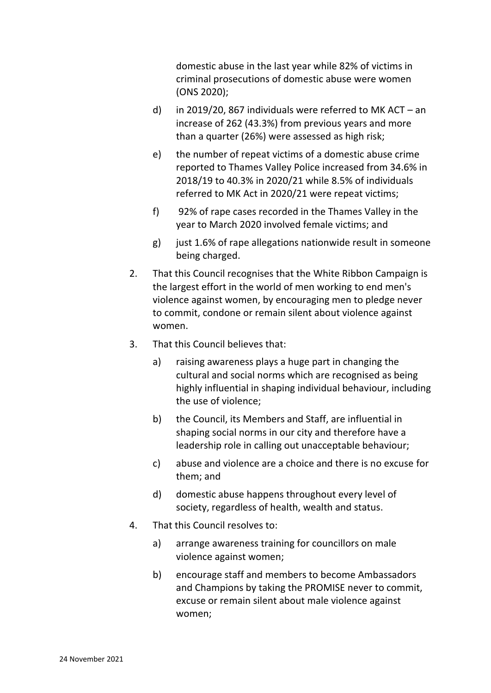domestic abuse in the last year while 82% of victims in criminal prosecutions of domestic abuse were women (ONS 2020);

- d) in 2019/20, 867 individuals were referred to MK ACT an increase of 262 (43.3%) from previous years and more than a quarter (26%) were assessed as high risk;
- e) the number of repeat victims of a domestic abuse crime reported to Thames Valley Police increased from 34.6% in 2018/19 to 40.3% in 2020/21 while 8.5% of individuals referred to MK Act in 2020/21 were repeat victims;
- f) 92% of rape cases recorded in the Thames Valley in the year to March 2020 involved female victims; and
- g) just 1.6% of rape allegations nationwide result in someone being charged.
- 2. That this Council recognises that the White Ribbon Campaign is the largest effort in the world of men working to end men's violence against women, by encouraging men to pledge never to commit, condone or remain silent about violence against women.
- 3. That this Council believes that:
	- a) raising awareness plays a huge part in changing the cultural and social norms which are recognised as being highly influential in shaping individual behaviour, including the use of violence;
	- b) the Council, its Members and Staff, are influential in shaping social norms in our city and therefore have a leadership role in calling out unacceptable behaviour;
	- c) abuse and violence are a choice and there is no excuse for them; and
	- d) domestic abuse happens throughout every level of society, regardless of health, wealth and status.
- 4. That this Council resolves to:
	- a) arrange awareness training for councillors on male violence against women;
	- b) encourage staff and members to become Ambassadors and Champions by taking the PROMISE never to commit, excuse or remain silent about male violence against women;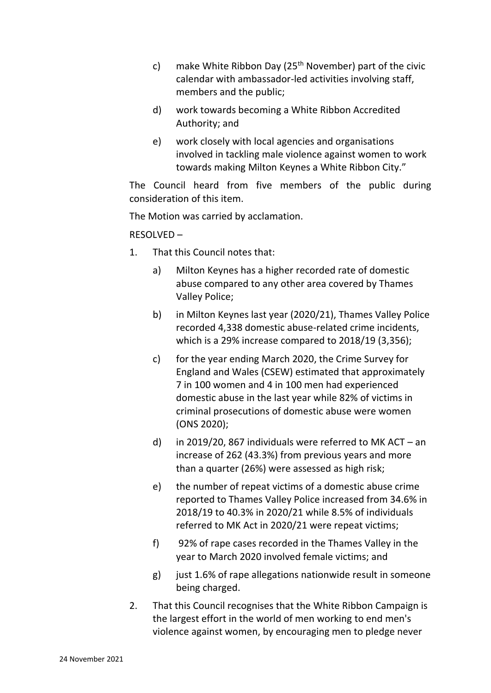- c) make White Ribbon Day ( $25<sup>th</sup>$  November) part of the civic calendar with ambassador-led activities involving staff, members and the public;
- d) work towards becoming a White Ribbon Accredited Authority; and
- e) work closely with local agencies and organisations involved in tackling male violence against women to work towards making Milton Keynes a White Ribbon City."

The Council heard from five members of the public during consideration of this item.

The Motion was carried by acclamation.

RESOLVED –

- 1. That this Council notes that:
	- a) Milton Keynes has a higher recorded rate of domestic abuse compared to any other area covered by Thames Valley Police;
	- b) in Milton Keynes last year (2020/21), Thames Valley Police recorded 4,338 domestic abuse-related crime incidents, which is a 29% increase compared to 2018/19 (3,356);
	- c) for the year ending March 2020, the Crime Survey for England and Wales (CSEW) estimated that approximately 7 in 100 women and 4 in 100 men had experienced domestic abuse in the last year while 82% of victims in criminal prosecutions of domestic abuse were women (ONS 2020);
	- d) in 2019/20, 867 individuals were referred to MK ACT an increase of 262 (43.3%) from previous years and more than a quarter (26%) were assessed as high risk;
	- e) the number of repeat victims of a domestic abuse crime reported to Thames Valley Police increased from 34.6% in 2018/19 to 40.3% in 2020/21 while 8.5% of individuals referred to MK Act in 2020/21 were repeat victims;
	- f) 92% of rape cases recorded in the Thames Valley in the year to March 2020 involved female victims; and
	- g) just 1.6% of rape allegations nationwide result in someone being charged.
- 2. That this Council recognises that the White Ribbon Campaign is the largest effort in the world of men working to end men's violence against women, by encouraging men to pledge never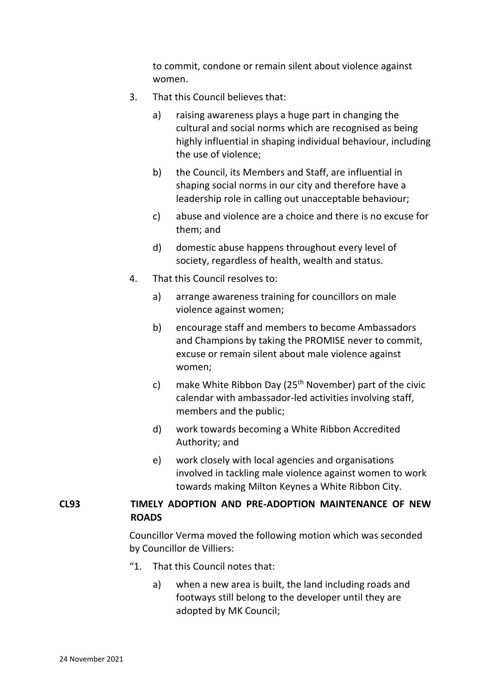to commit, condone or remain silent about violence against women.

- 3. That this Council believes that:
	- a) raising awareness plays a huge part in changing the cultural and social norms which are recognised as being highly influential in shaping individual behaviour, including the use of violence;
	- b) the Council, its Members and Staff, are influential in shaping social norms in our city and therefore have a leadership role in calling out unacceptable behaviour;
	- c) abuse and violence are a choice and there is no excuse for them; and
	- d) domestic abuse happens throughout every level of society, regardless of health, wealth and status.
- 4. That this Council resolves to:
	- a) arrange awareness training for councillors on male violence against women;
	- b) encourage staff and members to become Ambassadors and Champions by taking the PROMISE never to commit, excuse or remain silent about male violence against women;
	- c) make White Ribbon Day ( $25<sup>th</sup>$  November) part of the civic calendar with ambassador-led activities involving staff, members and the public;
	- d) work towards becoming a White Ribbon Accredited Authority; and
	- e) work closely with local agencies and organisations involved in tackling male violence against women to work towards making Milton Keynes a White Ribbon City.

## **CL93 TIMELY ADOPTION AND PRE-ADOPTION MAINTENANCE OF NEW ROADS**

Councillor Verma moved the following motion which was seconded by Councillor de Villiers:

- "1. That this Council notes that:
	- a) when a new area is built, the land including roads and footways still belong to the developer until they are adopted by MK Council;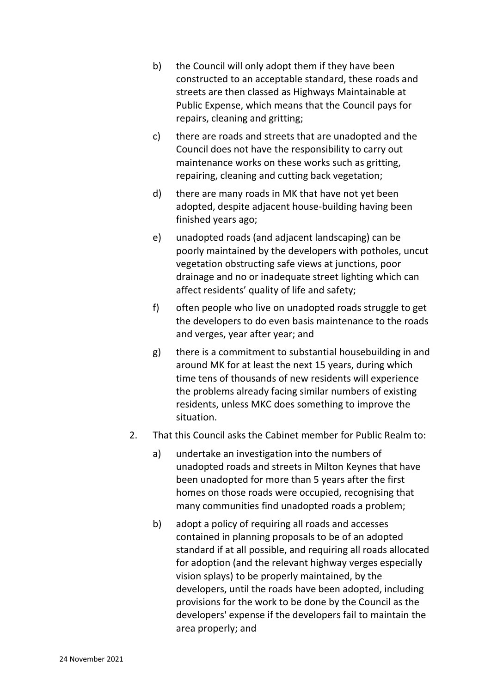- b) the Council will only adopt them if they have been constructed to an acceptable standard, these roads and streets are then classed as Highways Maintainable at Public Expense, which means that the Council pays for repairs, cleaning and gritting;
- c) there are roads and streets that are unadopted and the Council does not have the responsibility to carry out maintenance works on these works such as gritting, repairing, cleaning and cutting back vegetation;
- d) there are many roads in MK that have not yet been adopted, despite adjacent house-building having been finished years ago;
- e) unadopted roads (and adjacent landscaping) can be poorly maintained by the developers with potholes, uncut vegetation obstructing safe views at junctions, poor drainage and no or inadequate street lighting which can affect residents' quality of life and safety;
- f) often people who live on unadopted roads struggle to get the developers to do even basis maintenance to the roads and verges, year after year; and
- g) there is a commitment to substantial housebuilding in and around MK for at least the next 15 years, during which time tens of thousands of new residents will experience the problems already facing similar numbers of existing residents, unless MKC does something to improve the situation.
- 2. That this Council asks the Cabinet member for Public Realm to:
	- a) undertake an investigation into the numbers of unadopted roads and streets in Milton Keynes that have been unadopted for more than 5 years after the first homes on those roads were occupied, recognising that many communities find unadopted roads a problem;
	- b) adopt a policy of requiring all roads and accesses contained in planning proposals to be of an adopted standard if at all possible, and requiring all roads allocated for adoption (and the relevant highway verges especially vision splays) to be properly maintained, by the developers, until the roads have been adopted, including provisions for the work to be done by the Council as the developers' expense if the developers fail to maintain the area properly; and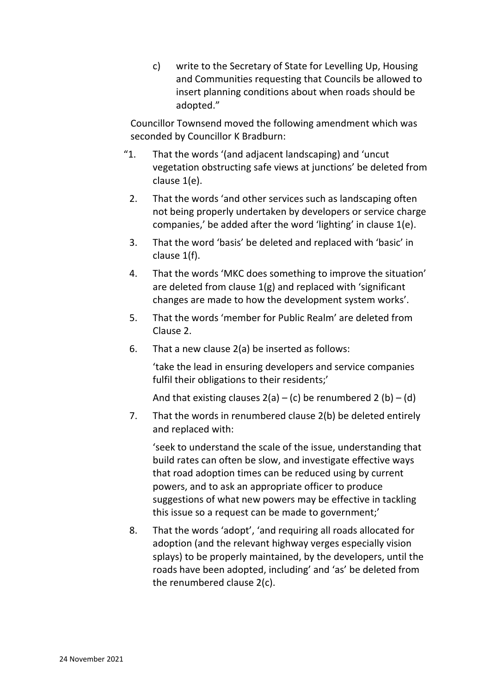c) write to the Secretary of State for Levelling Up, Housing and Communities requesting that Councils be allowed to insert planning conditions about when roads should be adopted."

Councillor Townsend moved the following amendment which was seconded by Councillor K Bradburn:

- "1. That the words '(and adjacent landscaping) and 'uncut vegetation obstructing safe views at junctions' be deleted from clause 1(e).
	- 2. That the words 'and other services such as landscaping often not being properly undertaken by developers or service charge companies,' be added after the word 'lighting' in clause 1(e).
	- 3. That the word 'basis' be deleted and replaced with 'basic' in clause 1(f).
	- 4. That the words 'MKC does something to improve the situation' are deleted from clause 1(g) and replaced with 'significant changes are made to how the development system works'.
	- 5. That the words 'member for Public Realm' are deleted from Clause 2.
	- 6. That a new clause 2(a) be inserted as follows:

'take the lead in ensuring developers and service companies fulfil their obligations to their residents;'

And that existing clauses  $2(a) - (c)$  be renumbered 2 (b) – (d)

7. That the words in renumbered clause 2(b) be deleted entirely and replaced with:

'seek to understand the scale of the issue, understanding that build rates can often be slow, and investigate effective ways that road adoption times can be reduced using by current powers, and to ask an appropriate officer to produce suggestions of what new powers may be effective in tackling this issue so a request can be made to government;'

8. That the words 'adopt', 'and requiring all roads allocated for adoption (and the relevant highway verges especially vision splays) to be properly maintained, by the developers, until the roads have been adopted, including' and 'as' be deleted from the renumbered clause 2(c).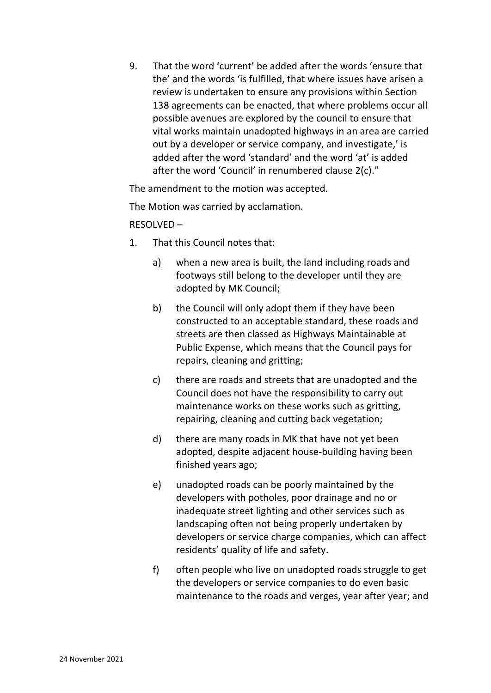9. That the word 'current' be added after the words 'ensure that the' and the words 'is fulfilled, that where issues have arisen a review is undertaken to ensure any provisions within Section 138 agreements can be enacted, that where problems occur all possible avenues are explored by the council to ensure that vital works maintain unadopted highways in an area are carried out by a developer or service company, and investigate,' is added after the word 'standard' and the word 'at' is added after the word 'Council' in renumbered clause 2(c)."

The amendment to the motion was accepted.

The Motion was carried by acclamation.

## RESOLVED –

- 1. That this Council notes that:
	- a) when a new area is built, the land including roads and footways still belong to the developer until they are adopted by MK Council;
	- b) the Council will only adopt them if they have been constructed to an acceptable standard, these roads and streets are then classed as Highways Maintainable at Public Expense, which means that the Council pays for repairs, cleaning and gritting;
	- c) there are roads and streets that are unadopted and the Council does not have the responsibility to carry out maintenance works on these works such as gritting, repairing, cleaning and cutting back vegetation;
	- d) there are many roads in MK that have not yet been adopted, despite adjacent house-building having been finished years ago;
	- e) unadopted roads can be poorly maintained by the developers with potholes, poor drainage and no or inadequate street lighting and other services such as landscaping often not being properly undertaken by developers or service charge companies, which can affect residents' quality of life and safety.
	- f) often people who live on unadopted roads struggle to get the developers or service companies to do even basic maintenance to the roads and verges, year after year; and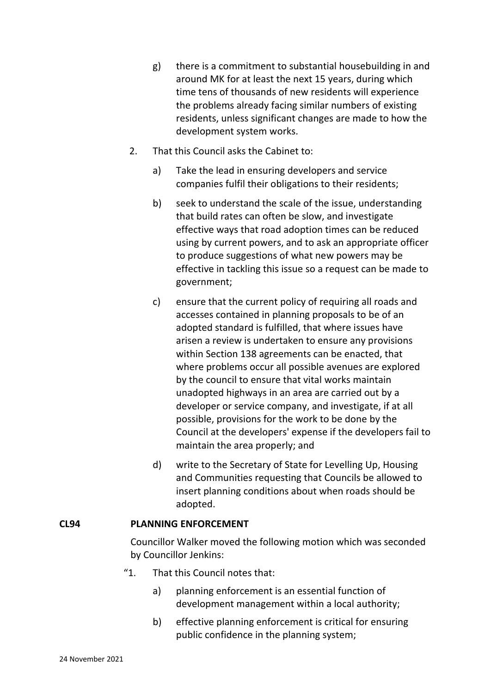- g) there is a commitment to substantial housebuilding in and around MK for at least the next 15 years, during which time tens of thousands of new residents will experience the problems already facing similar numbers of existing residents, unless significant changes are made to how the development system works.
- 2. That this Council asks the Cabinet to:
	- a) Take the lead in ensuring developers and service companies fulfil their obligations to their residents;
	- b) seek to understand the scale of the issue, understanding that build rates can often be slow, and investigate effective ways that road adoption times can be reduced using by current powers, and to ask an appropriate officer to produce suggestions of what new powers may be effective in tackling this issue so a request can be made to government;
	- c) ensure that the current policy of requiring all roads and accesses contained in planning proposals to be of an adopted standard is fulfilled, that where issues have arisen a review is undertaken to ensure any provisions within Section 138 agreements can be enacted, that where problems occur all possible avenues are explored by the council to ensure that vital works maintain unadopted highways in an area are carried out by a developer or service company, and investigate, if at all possible, provisions for the work to be done by the Council at the developers' expense if the developers fail to maintain the area properly; and
	- d) write to the Secretary of State for Levelling Up, Housing and Communities requesting that Councils be allowed to insert planning conditions about when roads should be adopted.

### **CL94 PLANNING ENFORCEMENT**

Councillor Walker moved the following motion which was seconded by Councillor Jenkins:

- "1. That this Council notes that:
	- a) planning enforcement is an essential function of development management within a local authority;
	- b) effective planning enforcement is critical for ensuring public confidence in the planning system;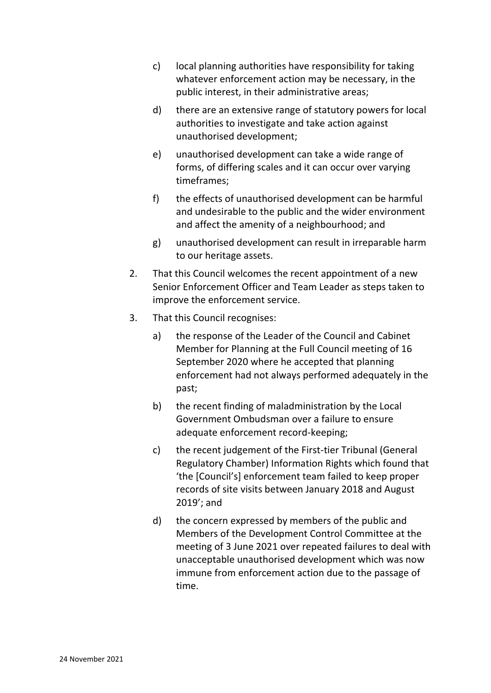- c) local planning authorities have responsibility for taking whatever enforcement action may be necessary, in the public interest, in their administrative areas;
- d) there are an extensive range of statutory powers for local authorities to investigate and take action against unauthorised development;
- e) unauthorised development can take a wide range of forms, of differing scales and it can occur over varying timeframes;
- f) the effects of unauthorised development can be harmful and undesirable to the public and the wider environment and affect the amenity of a neighbourhood; and
- g) unauthorised development can result in irreparable harm to our heritage assets.
- 2. That this Council welcomes the recent appointment of a new Senior Enforcement Officer and Team Leader as steps taken to improve the enforcement service.
- 3. That this Council recognises:
	- a) the response of the Leader of the Council and Cabinet Member for Planning at the Full Council meeting of 16 September 2020 where he accepted that planning enforcement had not always performed adequately in the past;
	- b) the recent finding of maladministration by the Local Government Ombudsman over a failure to ensure adequate enforcement record-keeping;
	- c) the recent judgement of the First-tier Tribunal (General Regulatory Chamber) Information Rights which found that 'the [Council's] enforcement team failed to keep proper records of site visits between January 2018 and August 2019'; and
	- d) the concern expressed by members of the public and Members of the Development Control Committee at the meeting of 3 June 2021 over repeated failures to deal with unacceptable unauthorised development which was now immune from enforcement action due to the passage of time.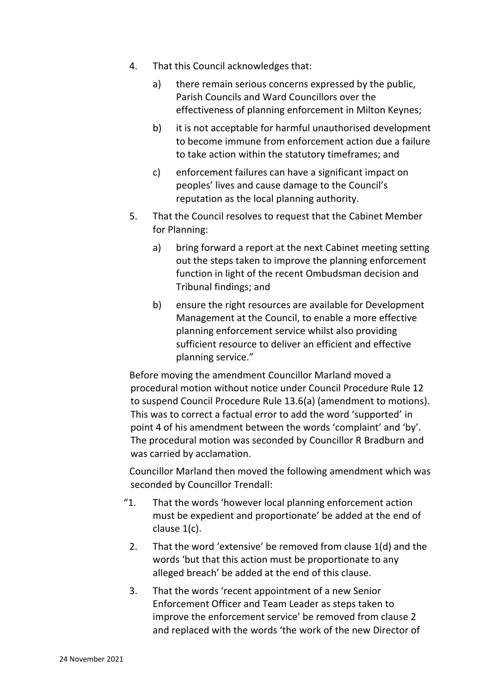- 4. That this Council acknowledges that:
	- a) there remain serious concerns expressed by the public, Parish Councils and Ward Councillors over the effectiveness of planning enforcement in Milton Keynes;
	- b) it is not acceptable for harmful unauthorised development to become immune from enforcement action due a failure to take action within the statutory timeframes; and
	- c) enforcement failures can have a significant impact on peoples' lives and cause damage to the Council's reputation as the local planning authority.
- 5. That the Council resolves to request that the Cabinet Member for Planning:
	- a) bring forward a report at the next Cabinet meeting setting out the steps taken to improve the planning enforcement function in light of the recent Ombudsman decision and Tribunal findings; and
	- b) ensure the right resources are available for Development Management at the Council, to enable a more effective planning enforcement service whilst also providing sufficient resource to deliver an efficient and effective planning service."

Before moving the amendment Councillor Marland moved a procedural motion without notice under Council Procedure Rule 12 to suspend Council Procedure Rule 13.6(a) (amendment to motions). This was to correct a factual error to add the word 'supported' in point 4 of his amendment between the words 'complaint' and 'by'. The procedural motion was seconded by Councillor R Bradburn and was carried by acclamation.

Councillor Marland then moved the following amendment which was seconded by Councillor Trendall:

- "1. That the words 'however local planning enforcement action must be expedient and proportionate' be added at the end of clause 1(c).
- 2. That the word 'extensive' be removed from clause 1(d) and the words 'but that this action must be proportionate to any alleged breach' be added at the end of this clause.
- 3. That the words 'recent appointment of a new Senior Enforcement Officer and Team Leader as steps taken to improve the enforcement service' be removed from clause 2 and replaced with the words 'the work of the new Director of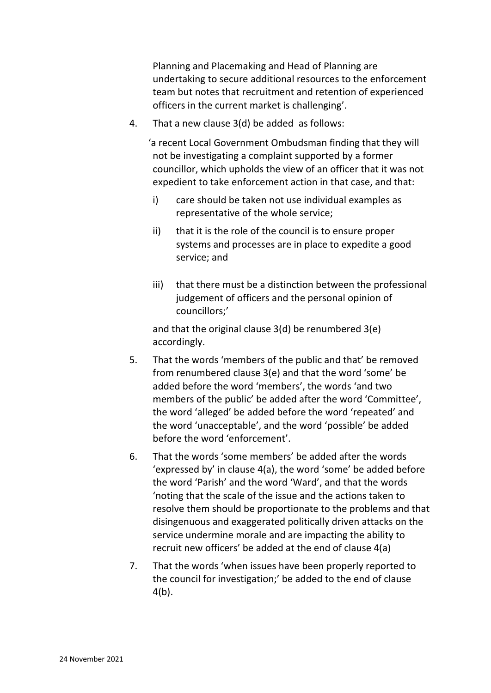Planning and Placemaking and Head of Planning are undertaking to secure additional resources to the enforcement team but notes that recruitment and retention of experienced officers in the current market is challenging'.

4. That a new clause 3(d) be added as follows:

'a recent Local Government Ombudsman finding that they will not be investigating a complaint supported by a former councillor, which upholds the view of an officer that it was not expedient to take enforcement action in that case, and that:

- i) care should be taken not use individual examples as representative of the whole service;
- ii) that it is the role of the council is to ensure proper systems and processes are in place to expedite a good service; and
- iii) that there must be a distinction between the professional judgement of officers and the personal opinion of councillors;'

and that the original clause 3(d) be renumbered 3(e) accordingly.

- 5. That the words 'members of the public and that' be removed from renumbered clause 3(e) and that the word 'some' be added before the word 'members', the words 'and two members of the public' be added after the word 'Committee', the word 'alleged' be added before the word 'repeated' and the word 'unacceptable', and the word 'possible' be added before the word 'enforcement'.
- 6. That the words 'some members' be added after the words 'expressed by' in clause 4(a), the word 'some' be added before the word 'Parish' and the word 'Ward', and that the words 'noting that the scale of the issue and the actions taken to resolve them should be proportionate to the problems and that disingenuous and exaggerated politically driven attacks on the service undermine morale and are impacting the ability to recruit new officers' be added at the end of clause 4(a)
- 7. That the words 'when issues have been properly reported to the council for investigation;' be added to the end of clause 4(b).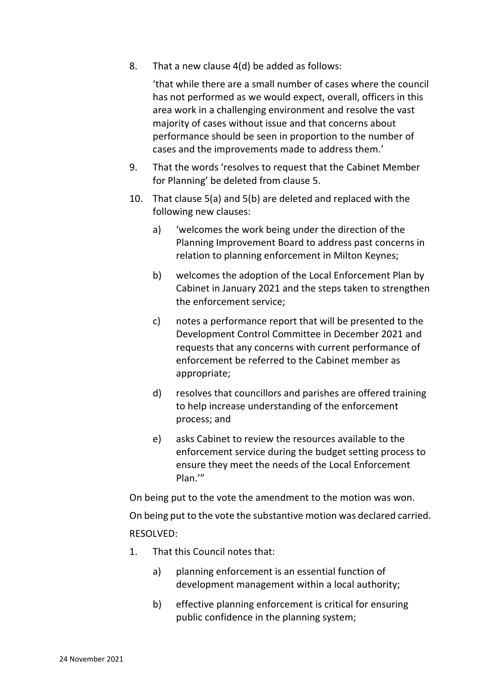8. That a new clause 4(d) be added as follows:

'that while there are a small number of cases where the council has not performed as we would expect, overall, officers in this area work in a challenging environment and resolve the vast majority of cases without issue and that concerns about performance should be seen in proportion to the number of cases and the improvements made to address them.'

- 9. That the words 'resolves to request that the Cabinet Member for Planning' be deleted from clause 5.
- 10. That clause 5(a) and 5(b) are deleted and replaced with the following new clauses:
	- a) 'welcomes the work being under the direction of the Planning Improvement Board to address past concerns in relation to planning enforcement in Milton Keynes;
	- b) welcomes the adoption of the Local Enforcement Plan by Cabinet in January 2021 and the steps taken to strengthen the enforcement service;
	- c) notes a performance report that will be presented to the Development Control Committee in December 2021 and requests that any concerns with current performance of enforcement be referred to the Cabinet member as appropriate;
	- d) resolves that councillors and parishes are offered training to help increase understanding of the enforcement process; and
	- e) asks Cabinet to review the resources available to the enforcement service during the budget setting process to ensure they meet the needs of the Local Enforcement Plan.'"

On being put to the vote the amendment to the motion was won. On being put to the vote the substantive motion was declared carried. RESOLVED:

- 1. That this Council notes that:
	- a) planning enforcement is an essential function of development management within a local authority;
	- b) effective planning enforcement is critical for ensuring public confidence in the planning system;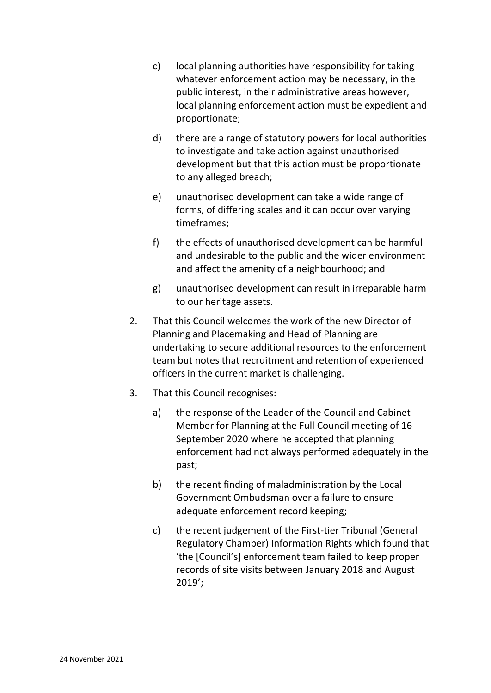- c) local planning authorities have responsibility for taking whatever enforcement action may be necessary, in the public interest, in their administrative areas however, local planning enforcement action must be expedient and proportionate;
- d) there are a range of statutory powers for local authorities to investigate and take action against unauthorised development but that this action must be proportionate to any alleged breach;
- e) unauthorised development can take a wide range of forms, of differing scales and it can occur over varying timeframes;
- f) the effects of unauthorised development can be harmful and undesirable to the public and the wider environment and affect the amenity of a neighbourhood; and
- g) unauthorised development can result in irreparable harm to our heritage assets.
- 2. That this Council welcomes the work of the new Director of Planning and Placemaking and Head of Planning are undertaking to secure additional resources to the enforcement team but notes that recruitment and retention of experienced officers in the current market is challenging.
- 3. That this Council recognises:
	- a) the response of the Leader of the Council and Cabinet Member for Planning at the Full Council meeting of 16 September 2020 where he accepted that planning enforcement had not always performed adequately in the past;
	- b) the recent finding of maladministration by the Local Government Ombudsman over a failure to ensure adequate enforcement record keeping;
	- c) the recent judgement of the First-tier Tribunal (General Regulatory Chamber) Information Rights which found that 'the [Council's] enforcement team failed to keep proper records of site visits between January 2018 and August 2019';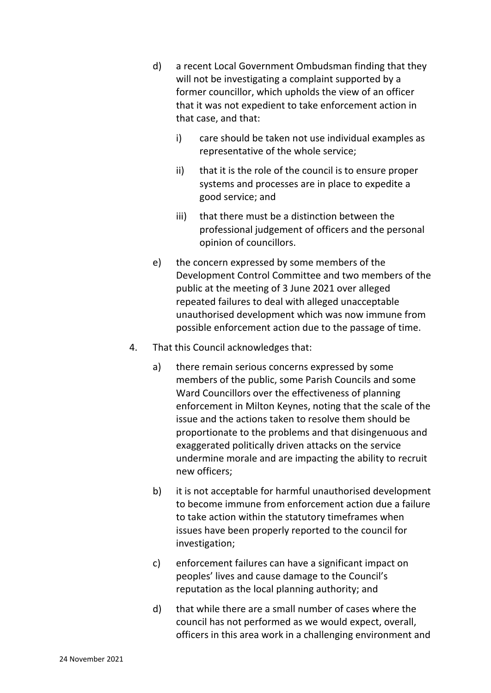- d) a recent Local Government Ombudsman finding that they will not be investigating a complaint supported by a former councillor, which upholds the view of an officer that it was not expedient to take enforcement action in that case, and that:
	- i) care should be taken not use individual examples as representative of the whole service;
	- ii) that it is the role of the council is to ensure proper systems and processes are in place to expedite a good service; and
	- iii) that there must be a distinction between the professional judgement of officers and the personal opinion of councillors.
- e) the concern expressed by some members of the Development Control Committee and two members of the public at the meeting of 3 June 2021 over alleged repeated failures to deal with alleged unacceptable unauthorised development which was now immune from possible enforcement action due to the passage of time.
- 4. That this Council acknowledges that:
	- a) there remain serious concerns expressed by some members of the public, some Parish Councils and some Ward Councillors over the effectiveness of planning enforcement in Milton Keynes, noting that the scale of the issue and the actions taken to resolve them should be proportionate to the problems and that disingenuous and exaggerated politically driven attacks on the service undermine morale and are impacting the ability to recruit new officers;
	- b) it is not acceptable for harmful unauthorised development to become immune from enforcement action due a failure to take action within the statutory timeframes when issues have been properly reported to the council for investigation;
	- c) enforcement failures can have a significant impact on peoples' lives and cause damage to the Council's reputation as the local planning authority; and
	- d) that while there are a small number of cases where the council has not performed as we would expect, overall, officers in this area work in a challenging environment and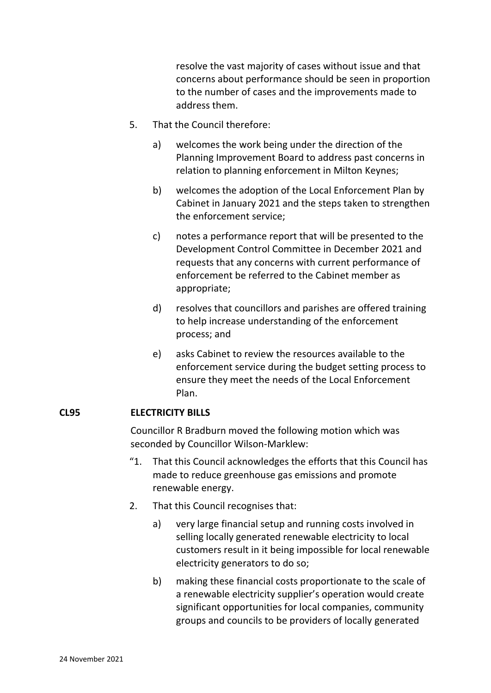resolve the vast majority of cases without issue and that concerns about performance should be seen in proportion to the number of cases and the improvements made to address them.

- 5. That the Council therefore:
	- a) welcomes the work being under the direction of the Planning Improvement Board to address past concerns in relation to planning enforcement in Milton Keynes;
	- b) welcomes the adoption of the Local Enforcement Plan by Cabinet in January 2021 and the steps taken to strengthen the enforcement service;
	- c) notes a performance report that will be presented to the Development Control Committee in December 2021 and requests that any concerns with current performance of enforcement be referred to the Cabinet member as appropriate;
	- d) resolves that councillors and parishes are offered training to help increase understanding of the enforcement process; and
	- e) asks Cabinet to review the resources available to the enforcement service during the budget setting process to ensure they meet the needs of the Local Enforcement Plan.

### **CL95 ELECTRICITY BILLS**

Councillor R Bradburn moved the following motion which was seconded by Councillor Wilson-Marklew:

- "1. That this Council acknowledges the efforts that this Council has made to reduce greenhouse gas emissions and promote renewable energy.
- 2. That this Council recognises that:
	- a) very large financial setup and running costs involved in selling locally generated renewable electricity to local customers result in it being impossible for local renewable electricity generators to do so;
	- b) making these financial costs proportionate to the scale of a renewable electricity supplier's operation would create significant opportunities for local companies, community groups and councils to be providers of locally generated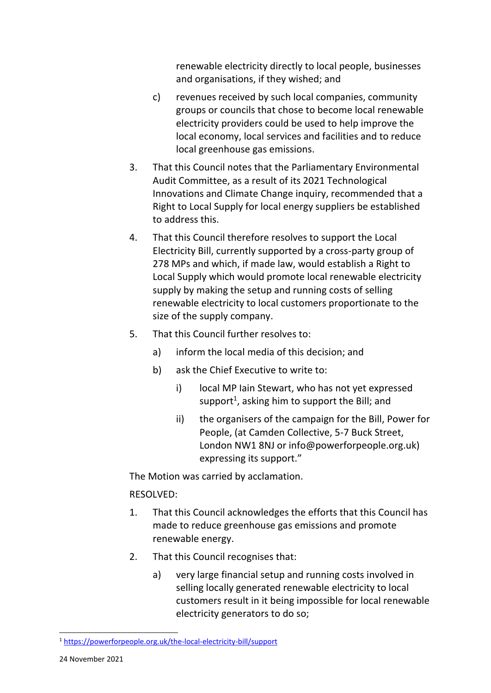renewable electricity directly to local people, businesses and organisations, if they wished; and

- c) revenues received by such local companies, community groups or councils that chose to become local renewable electricity providers could be used to help improve the local economy, local services and facilities and to reduce local greenhouse gas emissions.
- 3. That this Council notes that the Parliamentary Environmental Audit Committee, as a result of its 2021 Technological Innovations and Climate Change inquiry, recommended that a Right to Local Supply for local energy suppliers be established to address this.
- 4. That this Council therefore resolves to support the Local Electricity Bill, currently supported by a cross-party group of 278 MPs and which, if made law, would establish a Right to Local Supply which would promote local renewable electricity supply by making the setup and running costs of selling renewable electricity to local customers proportionate to the size of the supply company.
- 5. That this Council further resolves to:
	- a) inform the local media of this decision; and
	- b) ask the Chief Executive to write to:
		- i) local MP Iain Stewart, who has not yet expressed support<sup>1</sup>, asking him to support the Bill; and
		- ii) the organisers of the campaign for the Bill, Power for People, (at Camden Collective, 5-7 Buck Street, London NW1 8NJ or info@powerforpeople.org.uk) expressing its support."

The Motion was carried by acclamation.

# RESOLVED:

- 1. That this Council acknowledges the efforts that this Council has made to reduce greenhouse gas emissions and promote renewable energy.
- 2. That this Council recognises that:
	- a) very large financial setup and running costs involved in selling locally generated renewable electricity to local customers result in it being impossible for local renewable electricity generators to do so;

<sup>1</sup> <https://powerforpeople.org.uk/the-local-electricity-bill/support>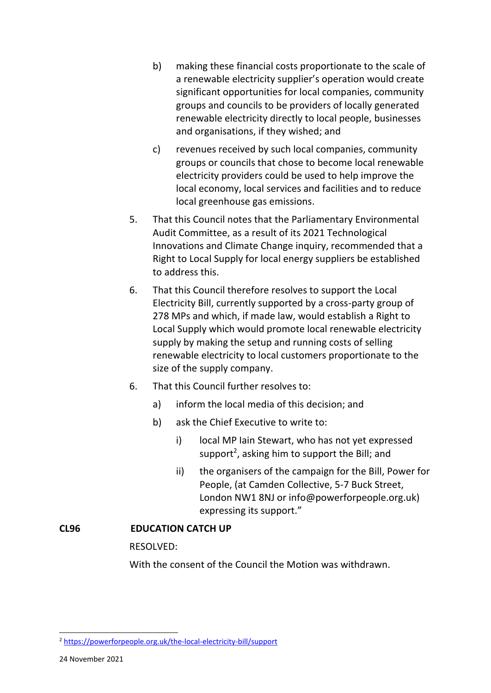- b) making these financial costs proportionate to the scale of a renewable electricity supplier's operation would create significant opportunities for local companies, community groups and councils to be providers of locally generated renewable electricity directly to local people, businesses and organisations, if they wished; and
- c) revenues received by such local companies, community groups or councils that chose to become local renewable electricity providers could be used to help improve the local economy, local services and facilities and to reduce local greenhouse gas emissions.
- 5. That this Council notes that the Parliamentary Environmental Audit Committee, as a result of its 2021 Technological Innovations and Climate Change inquiry, recommended that a Right to Local Supply for local energy suppliers be established to address this.
- 6. That this Council therefore resolves to support the Local Electricity Bill, currently supported by a cross-party group of 278 MPs and which, if made law, would establish a Right to Local Supply which would promote local renewable electricity supply by making the setup and running costs of selling renewable electricity to local customers proportionate to the size of the supply company.
- 6. That this Council further resolves to:
	- a) inform the local media of this decision; and
	- b) ask the Chief Executive to write to:
		- i) local MP Iain Stewart, who has not yet expressed support<sup>2</sup>, asking him to support the Bill; and
		- ii) the organisers of the campaign for the Bill, Power for People, (at Camden Collective, 5-7 Buck Street, London NW1 8NJ or info@powerforpeople.org.uk) expressing its support."

# **CL96 EDUCATION CATCH UP**

RESOLVED:

With the consent of the Council the Motion was withdrawn.

<sup>2</sup> <https://powerforpeople.org.uk/the-local-electricity-bill/support>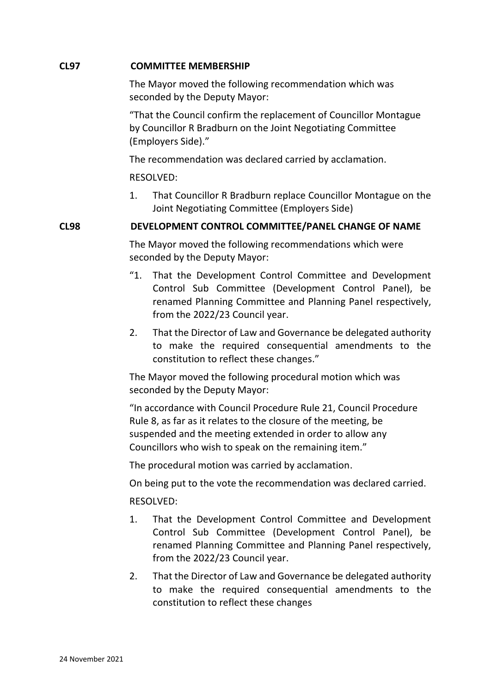### **CL97 COMMITTEE MEMBERSHIP**

The Mayor moved the following recommendation which was seconded by the Deputy Mayor:

"That the Council confirm the replacement of Councillor Montague by Councillor R Bradburn on the Joint Negotiating Committee (Employers Side)."

The recommendation was declared carried by acclamation.

## RESOLVED:

1. That Councillor R Bradburn replace Councillor Montague on the Joint Negotiating Committee (Employers Side)

## **CL98 DEVELOPMENT CONTROL COMMITTEE/PANEL CHANGE OF NAME**

The Mayor moved the following recommendations which were seconded by the Deputy Mayor:

- "1. That the Development Control Committee and Development Control Sub Committee (Development Control Panel), be renamed Planning Committee and Planning Panel respectively, from the 2022/23 Council year.
- 2. That the Director of Law and Governance be delegated authority to make the required consequential amendments to the constitution to reflect these changes."

The Mayor moved the following procedural motion which was seconded by the Deputy Mayor:

"In accordance with Council Procedure Rule 21, Council Procedure Rule 8, as far as it relates to the closure of the meeting, be suspended and the meeting extended in order to allow any Councillors who wish to speak on the remaining item."

The procedural motion was carried by acclamation.

On being put to the vote the recommendation was declared carried.

# RESOLVED:

- 1. That the Development Control Committee and Development Control Sub Committee (Development Control Panel), be renamed Planning Committee and Planning Panel respectively, from the 2022/23 Council year.
- 2. That the Director of Law and Governance be delegated authority to make the required consequential amendments to the constitution to reflect these changes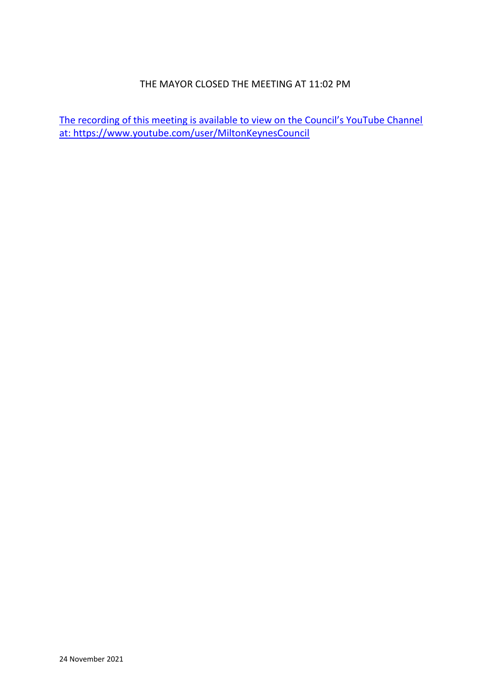## THE MAYOR CLOSED THE MEETING AT 11:02 PM

The recording of this meeting is available to view on the Council's YouTube Channel at:<https://www.youtube.com/user/MiltonKeynesCouncil>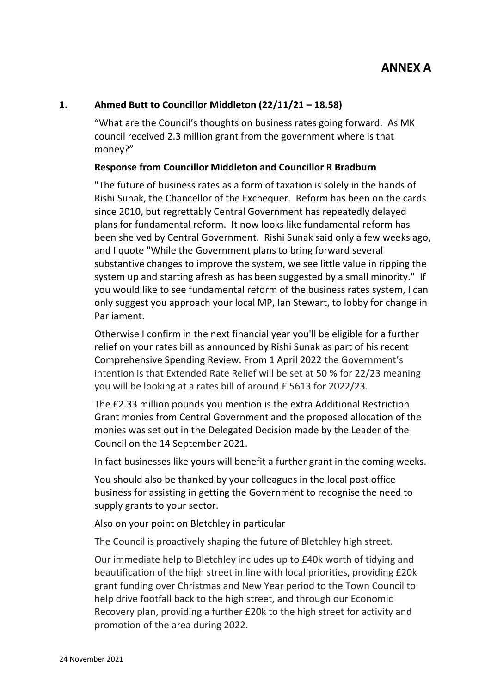## **1. Ahmed Butt to Councillor Middleton (22/11/21 – 18.58)**

"What are the Council's thoughts on business rates going forward. As MK council received 2.3 million grant from the government where is that money?"

### **Response from Councillor Middleton and Councillor R Bradburn**

"The future of business rates as a form of taxation is solely in the hands of Rishi Sunak, the Chancellor of the Exchequer. Reform has been on the cards since 2010, but regrettably Central Government has repeatedly delayed plans for fundamental reform. It now looks like fundamental reform has been shelved by Central Government. Rishi Sunak said only a few weeks ago, and I quote "While the Government plans to bring forward several substantive changes to improve the system, we see little value in ripping the system up and starting afresh as has been suggested by a small minority." If you would like to see fundamental reform of the business rates system, I can only suggest you approach your local MP, Ian Stewart, to lobby for change in Parliament.

Otherwise I confirm in the next financial year you'll be eligible for a further relief on your rates bill as announced by Rishi Sunak as part of his recent Comprehensive Spending Review. From 1 April 2022 the Government's intention is that Extended Rate Relief will be set at 50 % for 22/23 meaning you will be looking at a rates bill of around £ 5613 for 2022/23.

The £2.33 million pounds you mention is the extra Additional Restriction Grant monies from Central Government and the proposed allocation of the monies was set out in the Delegated Decision made by the Leader of the Council on the 14 September 2021.

In fact businesses like yours will benefit a further grant in the coming weeks.

You should also be thanked by your colleagues in the local post office business for assisting in getting the Government to recognise the need to supply grants to your sector.

Also on your point on Bletchley in particular

The Council is proactively shaping the future of Bletchley high street.

Our immediate help to Bletchley includes up to £40k worth of tidying and beautification of the high street in line with local priorities, providing £20k grant funding over Christmas and New Year period to the Town Council to help drive footfall back to the high street, and through our Economic Recovery plan, providing a further £20k to the high street for activity and promotion of the area during 2022.